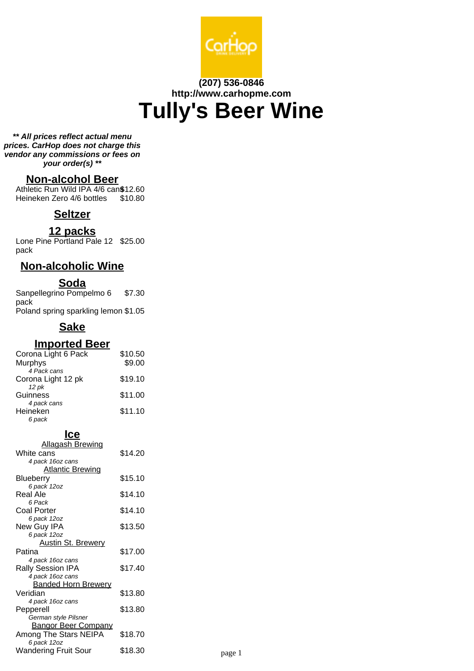

# **(207) 536-0846 http://www.carhopme.com Tully's Beer Wine**

**\*\* All prices reflect actual menu prices. CarHop does not charge this vendor any commissions or fees on your order(s) \*\***

### **Non-alcohol Beer**

Athletic Run Wild IPA 4/6 can\$12.60 Heineken Zero 4/6 bottles \$10.80

# **Seltzer**

### **12 packs**

Lone Pine Portland Pale 12 \$25.00 pack

### **Non-alcoholic Wine**

### **Soda**

Sanpellegrino Pompelmo 6 pack \$7.30 Poland spring sparkling lemon \$1.05

# **Sake**

### **Imported Beer**

| Corona Light 6 Pack | \$10.50 |
|---------------------|---------|
| Murphys             | \$9.00  |
| 4 Pack cans         |         |
| Corona Light 12 pk  | \$19.10 |
| 12 pk               |         |
| Guinness            | \$11.00 |
| 4 pack cans         |         |
| Heineken            | \$11.10 |
| 6 pack              |         |

### **Ice**

| <u>Allagash Brewing</u>    |         |        |
|----------------------------|---------|--------|
| White cans                 | \$14.20 |        |
| 4 pack 16oz cans           |         |        |
| <b>Atlantic Brewing</b>    |         |        |
| <b>Blueberry</b>           | \$15.10 |        |
| 6 pack 12oz                |         |        |
| Real Ale                   | \$14.10 |        |
| 6 Pack                     |         |        |
| <b>Coal Porter</b>         | \$14.10 |        |
| 6 pack 12oz                |         |        |
| New Guy IPA                | \$13.50 |        |
| 6 pack 12oz                |         |        |
| <u>Austin St. Brewery</u>  |         |        |
| Patina                     | \$17.00 |        |
| 4 pack 16oz cans           |         |        |
| Rally Session IPA          | \$17.40 |        |
| 4 pack 16oz cans           |         |        |
| <b>Banded Horn Brewery</b> |         |        |
| Veridian                   | \$13.80 |        |
| 4 pack 16oz cans           |         |        |
| Pepperell                  | \$13.80 |        |
| German style Pilsner       |         |        |
| <b>Bangor Beer Company</b> |         |        |
| Among The Stars NEIPA      | \$18.70 |        |
| 6 pack 12oz                |         |        |
| Wandering Fruit Sour       | \$18.30 | page 1 |
|                            |         |        |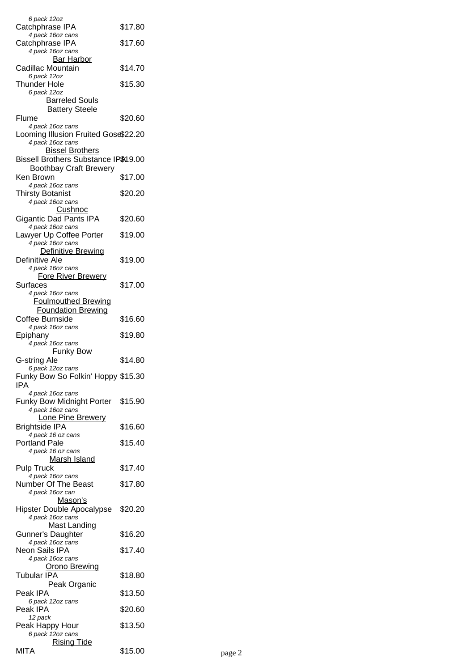| 6 pack 12oz<br>Catchphrase IPA                                                                  | \$17.80 |        |
|-------------------------------------------------------------------------------------------------|---------|--------|
| 4 pack 16oz cans<br>Catchphrase IPA                                                             | \$17.60 |        |
| 4 pack 16oz cans<br><b>Bar Harbor</b>                                                           |         |        |
| Cadillac Mountain<br>6 pack 12oz                                                                | \$14.70 |        |
| Thunder Hole                                                                                    | \$15.30 |        |
| 6 pack 12oz<br><b>Barreled Souls</b>                                                            |         |        |
| <b>Battery Steele</b><br>Flume                                                                  | \$20.60 |        |
| 4 pack 16oz cans                                                                                |         |        |
| Looming Illusion Fruited Gose\$22.20<br>4 pack 16oz cans                                        |         |        |
| <b>Bissel Brothers</b><br>Bissell Brothers Substance IP\$19.00<br><b>Boothbay Craft Brewery</b> |         |        |
| Ken Brown                                                                                       | \$17.00 |        |
| 4 pack 16oz cans<br><b>Thirsty Botanist</b>                                                     | \$20.20 |        |
| 4 pack 16oz cans<br>Cushnoc                                                                     |         |        |
| <b>Gigantic Dad Pants IPA</b>                                                                   | \$20.60 |        |
| 4 pack 16oz cans<br>Lawyer Up Coffee Porter                                                     | \$19.00 |        |
| 4 pack 16oz cans                                                                                |         |        |
| Definitive Brewing<br>Definitive Ale                                                            | \$19.00 |        |
| 4 pack 16oz cans                                                                                |         |        |
| <b>Fore River Brewery</b><br>Surfaces                                                           | \$17.00 |        |
| 4 pack 16oz cans<br><b>Foulmouthed Brewing</b>                                                  |         |        |
| <b>Foundation Brewing</b>                                                                       |         |        |
| Coffee Burnside<br>4 pack 16oz cans                                                             | \$16.60 |        |
| Epiphany                                                                                        | \$19.80 |        |
| 4 pack 16oz cans<br><u>Funky Bow</u>                                                            |         |        |
| G-string Ale                                                                                    | \$14.80 |        |
| 6 pack 12oz cans<br>Funky Bow So Folkin' Hoppy \$15.30                                          |         |        |
| IPA<br>4 pack 16oz cans                                                                         |         |        |
| Funky Bow Midnight Porter                                                                       | \$15.90 |        |
| 4 pack 16oz cans<br>Lone Pine Brewery                                                           |         |        |
| <b>Brightside IPA</b><br>4 pack 16 oz cans                                                      | \$16.60 |        |
| Portland Pale                                                                                   | \$15.40 |        |
| 4 pack 16 oz cans<br><b>Marsh Island</b>                                                        |         |        |
| <b>Pulp Truck</b><br>4 pack 16oz cans                                                           | \$17.40 |        |
| Number Of The Beast                                                                             | \$17.80 |        |
| 4 pack 16oz can<br><u>Mason's</u>                                                               |         |        |
| <b>Hipster Double Apocalypse</b><br>4 pack 16oz cans                                            | \$20.20 |        |
| <b>Mast Landing</b>                                                                             |         |        |
| Gunner's Daughter<br>4 pack 16oz cans                                                           | \$16.20 |        |
| Neon Sails IPA                                                                                  | \$17.40 |        |
| 4 pack 16oz cans<br><u> Orono Brewing</u>                                                       |         |        |
| Tubular IPA                                                                                     | \$18.80 |        |
| <b>Peak Organic</b><br>Peak IPA                                                                 | \$13.50 |        |
| 6 pack 12oz cans<br>Peak IPA                                                                    | \$20.60 |        |
| 12 pack                                                                                         |         |        |
| Peak Happy Hour<br>6 pack 12oz cans                                                             | \$13.50 |        |
| <b>Rising Tide</b><br><b>MITA</b>                                                               |         |        |
|                                                                                                 | \$15.00 | page 2 |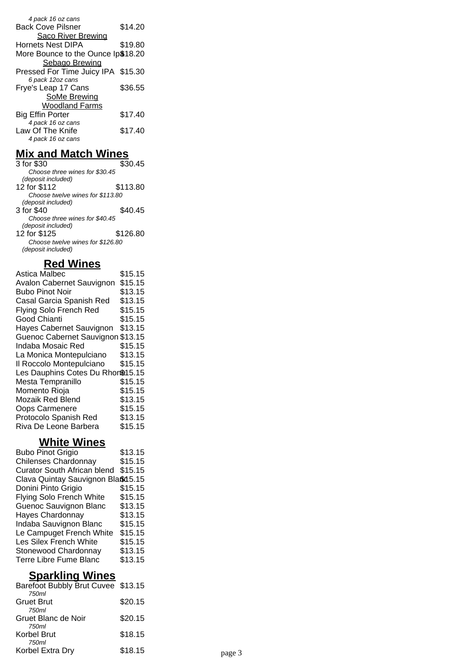| 4 pack 16 oz cans                  |         |
|------------------------------------|---------|
| <b>Back Cove Pilsner</b>           | \$14.20 |
| Saco River Brewing                 |         |
| <b>Hornets Nest DIPA</b>           | \$19.80 |
| More Bounce to the Ounce Ip\$18.20 |         |
| <b>Sebago Brewing</b>              |         |
| Pressed For Time Juicy IPA \$15.30 |         |
| 6 pack 12oz cans                   |         |
| Frye's Leap 17 Cans                | \$36.55 |
| <b>SoMe Brewing</b>                |         |
| <b>Woodland Farms</b>              |         |
| <b>Big Effin Porter</b>            | \$17.40 |
| 4 pack 16 oz cans                  |         |
| Law Of The Knife                   | \$17.40 |
| 4 pack 16 oz cans                  |         |

# **Mix and Match Wines**

| 3 for \$30                       | \$30.45  |
|----------------------------------|----------|
| Choose three wines for \$30.45   |          |
| (deposit included)               |          |
| 12 for \$112                     | \$113.80 |
| Choose twelve wines for \$113.80 |          |
| (deposit included)               |          |
| 3 for \$40                       | \$40.45  |
| Choose three wines for \$40.45   |          |
| (deposit included)               |          |
| 12 for \$125                     | \$126.80 |
| Choose twelve wines for \$126.80 |          |
| (deposit included)               |          |
|                                  |          |

# **Red Wines**

| Astica Malbec                     | \$15.15 |
|-----------------------------------|---------|
| Avalon Cabernet Sauvignon         | \$15.15 |
| <b>Bubo Pinot Noir</b>            | \$13.15 |
| Casal Garcia Spanish Red          | \$13.15 |
| Flying Solo French Red            | \$15.15 |
| Good Chianti                      | \$15.15 |
| Hayes Cabernet Sauvignon          | \$13.15 |
| Guenoc Cabernet Sauvignon \$13.15 |         |
| Indaba Mosaic Red                 | \$15.15 |
| La Monica Montepulciano           | \$13.15 |
| Il Roccolo Montepulciano          | \$15.15 |
| Les Dauphins Cotes Du Rhon\$15.15 |         |
| Mesta Tempranillo                 | \$15.15 |
| Momento Rioja                     | \$15.15 |
| Mozaik Red Blend                  | \$13.15 |
| Oops Carmenere                    | \$15.15 |
| Protocolo Spanish Red             | \$13.15 |
| Riva De Leone Barbera             | \$15.15 |

# **White Wines**

| \$13.15                            |
|------------------------------------|
| \$15.15                            |
| \$15.15                            |
| Clava Quintay Sauvignon Bla\$d5.15 |
| \$15.15                            |
| \$15.15                            |
| \$13.15                            |
| \$13.15                            |
| \$15.15                            |
| \$15.15                            |
| \$15.15                            |
| \$13.15                            |
| \$13.15                            |
|                                    |

# **Sparkling Wines**

| Barefoot Bubbly Brut Cuvee \$13.15 |                    |
|------------------------------------|--------------------|
|                                    |                    |
|                                    |                    |
| \$20.15                            |                    |
|                                    |                    |
|                                    |                    |
| \$18.15                            | page 3             |
|                                    | \$20.15<br>\$18.15 |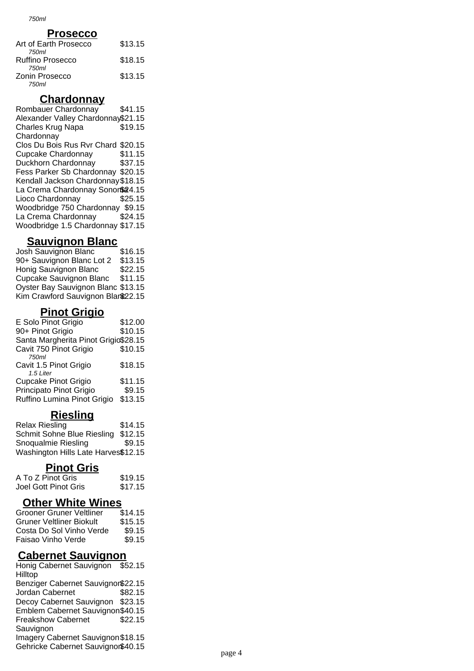750ml

#### **Prosecco**

| Art of Earth Prosecco | \$13.15 |
|-----------------------|---------|
| 750ml                 |         |
| Ruffino Prosecco      | \$18.15 |
| 750ml                 |         |
| Zonin Prosecco        | \$13.15 |
| 750ml                 |         |

#### **Chardonnay**

Rombauer Chardonnay \$41.15 Alexander Valley Chardonnay\$21.15 Charles Krug Napa **Chardonnay** \$19.15 Clos Du Bois Rus Rvr Chard \$20.15 Cupcake Chardonnay \$11.15 Duckhorn Chardonnay \$37.15 Fess Parker Sb Chardonnay \$20.15 Kendall Jackson Chardonnay\$18.15 La Crema Chardonnay Sonor\$24.15 Lioco Chardonnay \$25.15 Woodbridge 750 Chardonnay \$9.15 La Crema Chardonnay \$24.15 Woodbridge 1.5 Chardonnay \$17.15

### **Sauvignon Blanc**

Josh Sauvignon Blanc \$16.15 90+ Sauvignon Blanc Lot 2 \$13.15 Honig Sauvignon Blanc \$22.15 Cupcake Sauvignon Blanc \$11.15 Oyster Bay Sauvignon Blanc \$13.15 Kim Crawford Sauvignon Blanc22.15

## **Pinot Grigio**

| E Solo Pinot Grigio                  | \$12.00 |
|--------------------------------------|---------|
| 90+ Pinot Grigio                     | \$10.15 |
| Santa Margherita Pinot Grigio\$28.15 |         |
| Cavit 750 Pinot Grigio               | \$10.15 |
| 750ml                                |         |
| Cavit 1.5 Pinot Grigio               | \$18.15 |
| 1.5 Liter                            |         |
| <b>Cupcake Pinot Grigio</b>          | \$11.15 |
| Principato Pinot Grigio              | \$9.15  |
| Ruffino Lumina Pinot Grigio          | \$13.15 |
|                                      |         |

# **Riesling**

| <b>Relax Riesling</b>               | \$14.15 |
|-------------------------------------|---------|
| Schmit Sohne Blue Riesling          | \$12.15 |
| Snoqualmie Riesling                 | \$9.15  |
| Washington Hills Late Harves\$12.15 |         |

## **Pinot Gris**

| A To Z Pinot Gris    | \$19.15 |
|----------------------|---------|
| Joel Gott Pinot Gris | \$17.15 |

# **Other White Wines**

| \$14.15 |
|---------|
| \$15.15 |
| \$9.15  |
| \$9.15  |
|         |

# **Cabernet Sauvignon**

Honig Cabernet Sauvignon \$52.15 **Hilltop** Benziger Cabernet Sauvignon\$22.15 Jordan Cabernet \$82.15 Decoy Cabernet Sauvignon \$23.15 Emblem Cabernet Sauvignon\$40.15 Freakshow Cabernet **Sauvignon** \$22.15 Imagery Cabernet Sauvignon\$18.15 Gehricke Cabernet Sauvignon\$40.15